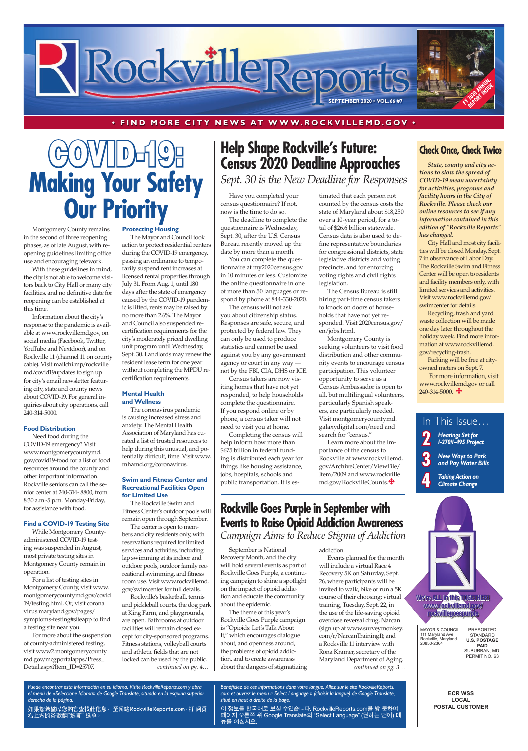**ECR WSS LOCAL POSTAL CUSTOMER**

# COVID-16E **Making Your Safety Our Priority**

### **• FIND MORE CITY NEWS AT W W W.ROCKVILLEMD.GOV •**

### **Check Once, Check Twice**

*State, county and city actions to slow the spread of COVID-19 mean uncertainty for activities, programs and facility hours in the City of Rockville. Please check our online resources to see if any information contained in this edition of "Rockville Reports" has changed.*

 For more information, visit www.rockvillemd.gov or call  $240 - 314 - 5000$ .

City Hall and most city facilities will be closed Monday, Sept. 7 in observance of Labor Day. The Rockville Swim and Fitness Center will be open to residents and facility members only, with limited services and activities. Visit www.rockvillemd.gov/ swimcenter for details.

Recycling, trash and yard waste collection will be made one day later throughout the holiday week. Find more information at www.rockvillemd. gov/recycling-trash.

Parking will be free at cityowned meters on Sept. 7.

*Puede encontrar esta información en su idioma. Visite RockvilleReports.com y abra el menú de «Seleccione Idioma» de Google Translate, situado en la esquina superior derecha de la página.*

如果您希望以您的语言查找此信息, 至网站RockvilleReports.com,打 网页 右上方的谷歌翻"选语言" 选单。

*Bénéficiez de ces informations dans votre langue. Allez sur le site RockvilleReports. com et ouvrez le menu « Select Language » (choisir la langue) de Google Translate, situé en haut à droite de la page.*

이 정보를 한국어로 보실 수있습니다. RockvilleReports.com을 방 문하여 페이지 오른쪽 위 Google Translate의 "Select Language" (원하는 언어) 메 뉴를 여십시오.

# **2** *Hearings Set for I-270/I-495 Project* **3** *New Ways to Park and Pay Water Bills* **4** *Taking Action on Climate Change* In This Issue…

Have you completed your census questionnaire? If not, now is the time to do so.

The deadline to complete the questionnaire is Wednesday, Sept. 30, after the U.S. Census Bureau recently moved up the date by more than a month.

You can complete the questionnaire at my2020census.gov in 10 minutes or less. Customize the online questionnaire in one of more than 50 languages or respond by phone at 844-330-2020.

The census will not ask you about citizenship status. Responses are safe, secure, and protected by federal law. They can only be used to produce statistics and cannot be used against you by any government agency or court in any way not by the FBI, CIA, DHS or ICE.

Census takers are now visiting homes that have not yet responded, to help households complete the questionnaire. If you respond online or by phone, a census taker will not need to visit you at home.

Completing the census will help inform how more than \$675 billion in federal funding is distributed each year for things like housing assistance, jobs, hospitals, schools and public transportation. It is es-

# **Help Shape Rockville's Future: Census 2020 Deadline Approaches**

*Sept. 30 is the New Deadline for Responses*

timated that each person not counted by the census costs the state of Maryland about \$18,250 over a 10-year period, for a total of \$26.6 billion statewide. Census data is also used to define representative boundaries for congressional districts, state legislative districts and voting precincts, and for enforcing voting rights and civil rights legislation.

The Census Bureau is still hiring part-time census takers to knock on doors of households that have not yet responded. Visit 2020census.gov/ en/jobs.html.

Montgomery County is seeking volunteers to visit food distribution and other community events to encourage census participation. This volunteer opportunity to serve as a Census Ambassador is open to all, but multilingual volunteers, particularly Spanish speakers, are particularly needed. Visit montgomerycountymd. galaxydigital.com/need and search for "census."

*continued on pg. 4…* The center is open to members and city residents only, with reservations required for limited services and activities, including lap swimming at its indoor and outdoor pools, outdoor family recreational swimming, and fitness room use. Visit www.rockvillemd. gov/swimcenter for full details. Rockville's basketball, tennis and pickleball courts, the dog park at King Farm, and playgrounds, are open. Bathrooms at outdoor facilities will remain closed except for city-sponsored programs. Fitness stations, volleyball courts and athletic fields that are not locked can be used by the public.

Learn more about the importance of the census to Rockville at www.rockvillemd. gov/ArchiveCenter/ViewFile/ Item/2009 and www.rockville md.gov/RockvilleCounts.

Montgomery County remains in the second of three reopening phases, as of late August, with reopening guidelines limiting office use and encouraging telework.



With these guidelines in mind, the city is not able to welcome visitors back to City Hall or many city facilities, and no definitive date for reopening can be established at this time.



Information about the city's response to the pandemic is available at www.rockvillemd.gov, on social media (Facebook, Twitter, YouTube and Nextdoor), and on Rockville 11 (channel 11 on county cable). Visit mailchi.mp/rockville md/covid19updates to sign up for city's email newsletter featuring city, state and county news about COVID-19. For general inquiries about city operations, call 240-314-5000.

#### **Food Distribution**

Need food during the COVID-19 emergency? Visit www.montgomerycountymd. gov/covid19-food for a list of food resources around the county and other important information. Rockville seniors can call the senior center at 240-314- 8800, from 8:30 a.m.-5 p.m. Monday-Friday, for assistance with food.

#### **Find a COVID-19 Testing Site**

While Montgomery Countyadministered COVID-19 testing was suspended in August, most private testing sites in Montgomery County remain in operation.

For a list of testing sites in Montgomery County, visit www. montgomerycountymd.gov/covid 19/testing.html. Or, visit corona virus.maryland.gov/pages/ symptoms-testing#siteapp to find a testing site near you.

For more about the suspension of county-administered testing, visit www2.montgomerycounty md.gov/mcgportalapps/Press\_ Detail.aspx?Item\_ID=25707.

### **Protecting Housing**

The Mayor and Council took action to protect residential renters during the COVID-19 emergency, passing an ordinance to temporarily suspend rent increases at licensed rental properties through July 31. From Aug. 1, until 180 days after the state of emergency caused by the COVID-19 pandemic is lifted, rents may be raised by no more than 2.6%. The Mayor and Council also suspended recertification requirements for the city's moderately priced dwelling unit program until Wednesday, Sept. 30. Landlords may renew the resident lease term for one year without completing the MPDU recertification requirements.

### **Mental Health and Wellness**

The coronavirus pandemic is causing increased stress and anxiety. The Mental Health Association of Maryland has curated a list of trusted resources to help during this unusual, and potentially difficult, time. Visit www. mhamd.org/coronavirus.

#### **Swim and Fitness Center and Recreational Facilities Open for Limited Use**

The Rockville Swim and Fitness Center's outdoor pools will remain open through September.

> September is National Recovery Month, and the city will hold several events as part of Rockville Goes Purple, a continuing campaign to shine a spotlight on the impact of opioid addiction and educate the community about the epidemic. The theme of this year's Rockville Goes Purple campaign is "Opioids: Let's Talk About It," which encourages dialogue about, and openness around, the problems of opioid addiction, and to create awareness about the dangers of stigmatizing

## **Rockville Goes Purple in September with Events to Raise Opioid Addiction Awareness**

*Campaign Aims to Reduce Stigma of Addiction*

addiction.

Events planned for the month will include a virtual Race 4 Recovery 5K on Saturday, Sept. 26, where participants will be

invited to walk, bike or run a 5K course of their choosing; virtual training, Tuesday, Sept. 22, in the use of the life-saving opioid overdose reversal drug, Narcan (sign up at www.surveymonkey. com/r/NarcanTraining1); and a Rockville 11 interview with Rona Kramer, secretary of the Maryland Department of Aging. *continued on pg. 3…*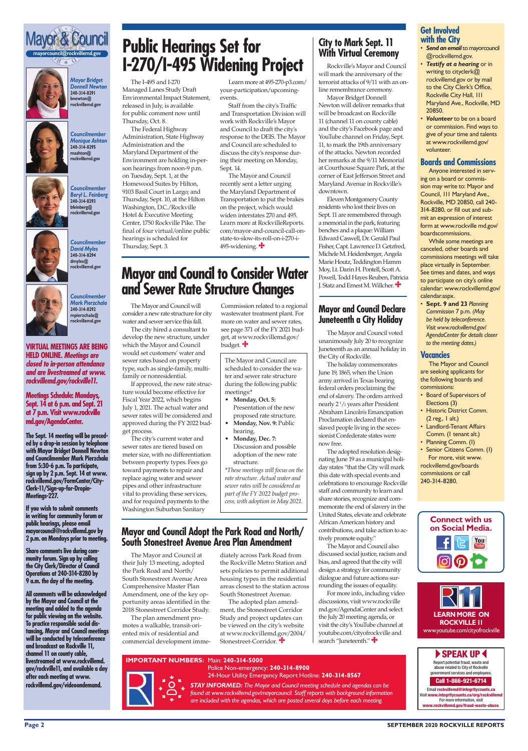#### **Page 2 SEPTEMBER 2020 ROCKVILLE REPORTS**

*STAY INFORMED: The Mayor and Council meeting schedule and agendas can be found at www.rockvillemd.gov/mayorcouncil. Staff reports with background information are included with the agendas, which are posted several days before each meeting.* 

*Mayor Bridget Donnell Newton* **240-314-8291 bnewton@ rockvillemd.gov**



*Councilmember Monique Ashton* **240-314-8295 mashton@ rockvillemd.gov**



*Councilmember David Myles* **240-314-8294 dmyles@ rockvillemd.gov**



*Councilmember Mark Pierzchala* **240-314-8292 mpierzchala@ rockvillemd.gov**







**Meetings Schedule: Mondays, Sept. 14 at 6 p.m. and Sept. 21 at 7 p.m. Visit www.rockville md.gov/AgendaCenter.** 

**The Sept. 14 meeting will be preceded by a drop-in session by telephone with Mayor Bridget Donnell Newton and Councilmember Mark Pierzchala from 5:30-6 p.m. To participate, sign up by 2 p.m. Sept. 14 at www. rockvillemd.gov/FormCenter/City-Clerk-11/Sign-up-for-Dropin-Meetings-227.** 

**If you wish to submit comments in writing for community forum or public hearings, please email mayorcouncil@rockvillemd.gov by 2 p.m. on Mondays prior to meeting.** 

**Share comments live during community forum. Sign up by calling the City Clerk/Director of Council Operations at 240-314-8280 by 9 a.m. the day of the meeting.**

**All comments will be acknowledged by the Mayor and Council at the meeting and added to the agenda for public viewing on the website. To practice responsible social distancing, Mayor and Council meetings will be conducted by teleconference and broadcast on Rockville 11, channel 11 on county cable, livestreamed at www.rockvillemd. gov/rockville11, and available a day after each meeting at www. rockvillemd.gov/videoondemand.**

**P SPEAK UP <** Report potential fraud, waste and abuse related to City of Rockville government services and employees.

Email rockvillemd@integritycounts.ca isit www.integritycounts.ca/org/rockvil For more information, visit ww.rockvillemd.gov/fraud-waste-abuse

### **Get Involved with the City**

- *Send an email* to mayorcouncil @rockvillemd.gov.
- *Testify at a hearing* or in writing to cityclerk@ rockvillemd.gov or by mail to the City Clerk's Office, Rockville City Hall, 111 Maryland Ave., Rockville, MD 20850.
- *Volunteer* to be on a board or commission. Find ways to give of your time and talents at www.rockvillemd.gov/ volunteer.

### **Boards and Commissions**

Anyone interested in serving on a board or commission may write to: Mayor and Council, 111 Maryland Ave., Rockville, MD 20850, call 240- 314-8280, or fill out and submit an expression of interest form at www.rockville md.gov/ boardscommissions.

While some meetings are canceled, other boards and commissions meetings will take place virtually in September. See times and dates, and ways to participate on city's online calendar: www.rockvillemd.gov/ calendar.aspx.

• **Sept. 9 and 23** *Planning Commission* 7 p.m. *(May be held by teleconference. Visit www.rockvillemd.gov/ AgendaCenter for details closer to the meeting dates.)*

### **Vacancies**

The Mayor and Council are seeking applicants for the following boards and commissions:

- Board of Supervisors of Elections (3)
- Historic District Comm. (2 reg., 1 alt.)
- Landlord-Tenant Affairs Comm. (1 tenant alt.)
- Planning Comm. (1)
- Senior Citizens Comm. (1) For more, visit www. rockvillemd.gov/boards commissions or call 240-314-8280.

#### Call 1-866-921-6714





### **IMPORTANT NUMBERS:** Main: **240-314-5000**



Police Non-emergency: **240-314-8900** 24-Hour Utility Emergency Report Hotline: **240-314-8567**

The Mayor and Council also discussed social justice, racism and bias, and agreed that the city will design a strategy for community dialogue and future actions surrounding the issues of equality. For more info., including video discussions, visit www.rockville md.gov/AgendaCenter and select the July 20 meeting agenda, or visit the city's YouTube channel at youtube.com/cityofrockville and search "Juneteenth."

**VIRTUAL MEETINGS ARE BEING HELD ONLINE.** *Meetings are closed to in-person attendance and are livestreamed at www. rockvillemd.gov/rockville11.*

### **City to Mark Sept. 11 With Virtual Ceremony**

Rockville's Mayor and Council will mark the anniversary of the terrorist attacks of 9/11 with an online remembrance ceremony.

The Mayor and Council recently sent a letter urging the Maryland Department of Transportation to put the brakes on the project, which would widen interstates 270 and 495. Learn more at RockvilleReports. com/mayor-and-council-call-onstate-to-slow-its-roll-on-i-270-i-495-widening.  $\bigoplus$ 

Mayor Bridget Donnell Newton will deliver remarks that will be broadcast on Rockville 11 (channel 11 on county cable) and the city's Facebook page and YouTube channel on Friday, Sept. 11, to mark the 19th anniversary of the attacks. Newton recorded her remarks at the 9/11 Memorial at Courthouse Square Park, at the corner of East Jefferson Street and Maryland Avenue in Rockville's downtown.

Commission related to a regional wastewater treatment plant. For more on water and sewer rates, see page 371 of the FY 2021 budget, at www.rockvillemd.gov/ budget.

Eleven Montgomery County residents who lost their lives on Sept. 11 are remembered through a memorial in the park, featuring benches and a plaque: William Edward Caswell, Dr. Gerald Paul Fisher, Capt. Lawrence D. Getzfred, Michele M. Heidenberger, Angela Marie Houtz, Teddington Hamm Moy, Lt. Darin H. Pontell, Scott A. Powell, Todd Hayes Reuben, Patricia J. Statz and Ernest M. Willcher.

diately across Park Road from the Rockville Metro Station and sets policies to permit additional housing types in the residential areas closest to the station across South Stonestreet Avenue. The adopted plan amendment, the Stonestreet Corridor Study and project updates can be viewed on the city's website at www.rockvillemd.gov/2004/ Stonestreet-Corridor.

The Mayor and Council at their July 13 meeting, adopted the Park Road and North/ South Stonestreet Avenue Area Comprehensive Master Plan Amendment, one of the key opportunity areas identified in the 2018 Stonestreet Corridor Study. The plan amendment promotes a walkable, transit-oriented mix of residential and commercial development imme-

The Mayor and Council will consider a new rate structure for city water and sewer service this fall.

The city hired a consultant to develop the new structure, under which the Mayor and Council would set customers' water and sewer rates based on property type, such as single-family, multifamily or nonresidential.

If approved, the new rate structure would become effective for Fiscal Year 2022, which begins July 1, 2021. The actual water and sewer rates will be considered and approved during the FY 2022 budget process.

The city's current water and sewer rates are tiered based on meter size, with no differentiation between property types. Fees go toward payments to repair and replace aging water and sewer pipes and other infrastructure vital to providing these services, and for required payments to the Washington Suburban Sanitary

The I-495 and I-270 Managed Lanes Study Draft Environmental Impact Statement, released in July, is available for public comment now until Thursday, Oct. 8.

The Federal Highway Administration, State Highway Administration and the Maryland Department of the Environment are holding in-person hearings from noon-9 p.m. on Tuesday, Sept. 1, at the Homewood Suites by Hilton, 9103 Basil Court in Largo; and Thursday, Sept. 10, at the Hilton Washington, D.C./Rockville Hotel & Executive Meeting Center, 1750 Rockville Pike. The final of four virtual/online public hearings is scheduled for Thursday, Sept. 3.

### **Mayor and Council Declare Juneteenth a City Holiday**

The Mayor and Council voted unanimously July 20 to recognize Juneteenth as an annual holiday in the City of Rockville.

The holiday commemorates June 19, 1865, when the Union army arrived in Texas bearing federal orders proclaiming the end of slavery. The orders arrived nearly 2 1 /2 years after President Abraham Lincoln's Emancipation Proclamation declared that enslaved people living in the secessionist Confederate states were now free.

The adopted resolution designating June 19 as a municipal holiday states "that the City will mark this date with special events and celebrations to encourage Rockville staff and community to learn and share stories, recognize and commemorate the end of slavery in the United States, elevate and celebrate African American history and contributions, and take action to actively promote equity."

# **Public Hearings Set for I-270/I-495 Widening Project**

Learn more at 495-270-p3.com/ your-participation/upcomingevents.

Staff from the city's Traffic and Transportation Division will work with Rockville's Mayor and Council to draft the city's response to the DEIS. The Mayor and Council are scheduled to discuss the city's response during their meeting on Monday, Sept. 14.

# **Mayor and Council to Consider Water and Sewer Rate Structure Changes**

The Mayor and Council are scheduled to consider the water and sewer rate structure during the following public meetings:\*

- **Monday, Oct. 5:** Presentation of the new proposed rate structure.
- **Monday, Nov. 9:** Public hearing.
- **Monday, Dec. 7:** Discussion and possible adoption of the new rate structure.

*\*These meetings will focus on the rate structure. Actual water and sewer rates will be considered as part of the FY 2022 budget process, with adoption in May 2021.*

### **Mayor and Council Adopt the Park Road and North/ South Stonestreet Avenue Area Plan Amendment**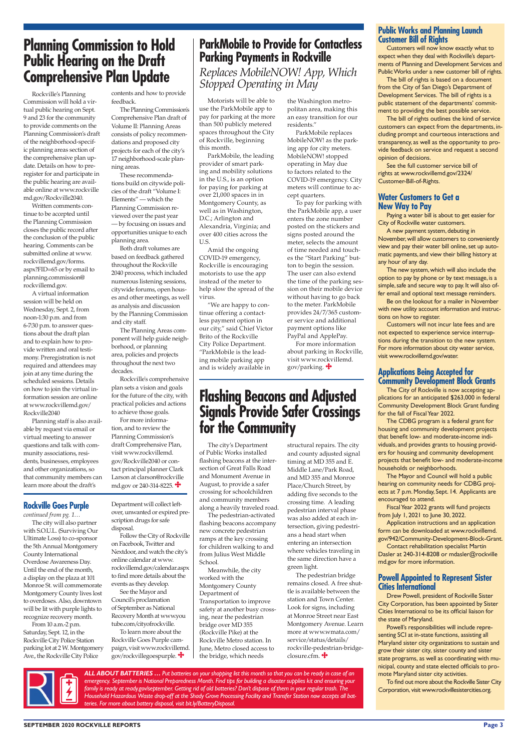### **Public Works and Planning Launch Customer Bill of Rights**

Customers will now know exactly what to expect when they deal with Rockville's departments of Planning and Development Services and Public Works under a new customer bill of rights.

The bill of rights is based on a document from the City of San Diego's Department of Development Services. The bill of rights is a public statement of the departments' commitment to providing the best possible service.

The bill of rights outlines the kind of service customers can expect from the departments, including prompt and courteous interactions and transparency, as well as the opportunity to provide feedback on service and request a second opinion of decisions.

See the full customer service bill of rights at www.rockvillemd.gov/2324/ Customer-Bill-of-Rights.

### **Water Customers to Get a New Way to Pay**

Paying a water bill is about to get easier for City of Rockville water customers.

A new payment system, debuting in

November, will allow customers to conveniently view and pay their water bill online, set up automatic payments, and view their billing history at any hour of any day.

The new system, which will also include the option to pay by phone or by text message, is a simple, safe and secure way to pay. It will also offer email and optional text message reminders.

Be on the lookout for a mailer in November with new utility account information and instructions on how to register.

Customers will not incur late fees and are not expected to experience service interruptions during the transition to the new system. For more information about city water service, visit www.rockvillemd.gov/water.

### **Applications Being Accepted for Community Development Block Grants**

The City of Rockville is now accepting applications for an anticipated \$263,000 in federal Community Development Block Grant funding for the fall of Fiscal Year 2022.

The CDBG program is a federal grant for housing and community development projects that benefit low- and moderate-income individuals, and provides grants to housing providers for housing and community development projects that benefit low- and moderate-income households or neighborhoods.

The Mayor and Council will hold a public hearing on community needs for CDBG projects at 7 p.m. Monday, Sept. 14. Applicants are encouraged to attend.

Fiscal Year 2022 grants will fund projects from July 1, 2021 to June 30, 2022.

Application instructions and an application form can be downloaded at www.rockvillemd. gov/942/Community-Development-Block-Grant.

Contact rehabilitation specialist Martin Dasler at 240-314-8208 or mdasler@rockville md.gov for more information.

### **Powell Appointed to Represent Sister**

**Cities International** 

Drew Powell, president of Rockville Sister City Corporation, has been appointed by Sister Cities International to be its official liaison for the state of Maryland.

Powell's responsibilities will include representing SCI at in-state functions, assisting all Maryland sister city organizations to sustain and grow their sister city, sister county and sister state programs, as well as coordinating with municipal, county and state elected officials to promote Maryland sister city activities.

To find out more about the Rockville Sister City Corporation, visit www.rockvillesistercities.org.



For more information, and to review the Planning Commission's draft Comprehensive Plan, visit www.rockvillemd. gov/Rockville2040 or contact principal planner Clark Larson at clarson@rockville md.gov or 240-314-8225.

Rockville's Planning Commission will hold a virtual public hearing on Sept. 9 and 23 for the community to provide comments on the Planning Commission's draft of the neighborhood-specific planning areas section of the comprehensive plan update. Details on how to preregister for and participate in the public hearing are available online at www.rockville md.gov/Rockville2040.

Written comments continue to be accepted until the Planning Commission closes the public record after the conclusion of the public hearing. Comments can be submitted online at www. rockvillemd.gov/forms. aspx?FID=65 or by email to planning.commission@ rockvillemd.gov.

A virtual information session will be held on Wednesday, Sept. 2, from noon-1:30 p.m. and from 6-7:30 p.m. to answer questions about the draft plan and to explain how to provide written and oral testimony. Preregistration is not required and attendees may join at any time during the scheduled sessions. Details on how to join the virtual information session are online at www.rockvillemd.gov/ Rockville2040

Planning staff is also available by request via email or virtual meeting to answer questions and talk with community associations, residents, businesses, employees and other organizations, so that community members can learn more about the draft's

Motorists will be able to use the ParkMobile app to pay for parking at the more than 500 publicly metered spaces throughout the City of Rockville, beginning this month.

ParkMobile, the leading provider of smart parking and mobility solutions in the U.S., is an option for paying for parking at over 21,000 spaces in in Montgomery County, as well as in Washington, D.C.; Arlington and Alexandria, Virginia; and over 400 cities across the U.S.

Amid the ongoing COVID-19 emergency, Rockville is encouraging motorists to use the app instead of the meter to help slow the spread of the virus.

"We are happy to continue offering a contactless payment option in our city," said Chief Victor Brito of the Rockville City Police Department. "ParkMobile is the leading mobile parking app and is widely available in

# **Planning Commission to Hold Public Hearing on the Draft Comprehensive Plan Update**

contents and how to provide feedback.

The Planning Commission's Comprehensive Plan draft of Volume II: Planning Areas consists of policy recommendations and proposed city projects for each of the city's 17 neighborhood-scale planning areas.

These recommendations build on citywide policies of the draft "Volume I: Elements" — which the Planning Commission reviewed over the past year — by focusing on issues and opportunities unique to each planning area.

Both draft volumes are based on feedback gathered throughout the Rockville 2040 process, which included numerous listening sessions, citywide forums, open houses and other meetings, as well as analysis and discussion by the Planning Commission and city staff.

The Planning Areas component will help guide neighborhood, or planning area, policies and projects throughout the next two decades.

Rockville's comprehensive plan sets a vision and goals for the future of the city, with practical policies and actions to achieve those goals.

### **ParkMobile to Provide for Contactless Parking Payments in Rockville**  *Replaces MobileNOW! App, Which Stopped Operating in May*

the Washington metropolitan area, making this an easy transition for our residents."

ParkMobile replaces MobileNOW! as the parking app for city meters. MobileNOW! stopped operating in May due to factors related to the COVID-19 emergency. City meters will continue to accept quarters.

To pay for parking with the ParkMobile app, a user enters the zone number posted on the stickers and signs posted around the meter, selects the amount of time needed and touches the "Start Parking" button to begin the session. The user can also extend the time of the parking session on their mobile device without having to go back to the meter. ParkMobile provides 24/7/365 customer service and additional payment options like PayPal and ApplePay.

For more information about parking in Rockville, visit www.rockvillemd. gov/parking.

*ALL ABOUT BATTERIES … Put batteries on your shopping list this month so that you can be ready in case of an emergency. September is National Preparedness Month. Find tips for building a disaster supplies kit and ensuring your family is ready at ready.gov/september. Getting rid of old batteries? Don't dispose of them in your regular trash. The Household Hazardous Waste drop-off at the Shady Grove Processing Facility and Transfer Station now accepts all batteries. For more about battery disposal, visit bit.ly/BatteryDisposal.*

The city's Department of Public Works installed flashing beacons at the intersection of Great Falls Road and Monument Avenue in August, to provide a safer crossing for schoolchildren and community members along a heavily traveled road.

The pedestrian-activated flashing beacons accompany new concrete pedestrian ramps at the key crossing for children walking to and from Julius West Middle School.

Meanwhile, the city worked with the Montgomery County

Department of Transportation to improve safety at another busy crossing, near the pedestrian bridge over MD 355 (Rockville Pike) at the Rockville Metro station. In June, Metro closed access to the bridge, which needs

## **Flashing Beacons and Adjusted Signals Provide Safer Crossings for the Community**

structural repairs. The city and county adjusted signal timing at MD 355 and E. Middle Lane/Park Road, and MD 355 and Monroe Place/Church Street, by adding five seconds to the crossing time. A leading pedestrian interval phase was also added at each intersection, giving pedestrians a head start when entering an intersection where vehicles traveling in the same direction have a

green light. The pedestrian bridge remains closed. A free shut-

tle is available between the station and Town Center. Look for signs, including at Monroe Street near East Montgomery Avenue. Learn more at www.wmata.com/ service/status/details/ rockville-pedestrian-bridgeclosure.cfm.

The city will also partner with S.O.U.L. (Surviving Our Ultimate Loss) to co-sponsor the 5th Annual Montgomery County International Overdose Awareness Day. Until the end of the month, a display on the plaza at 101 Monroe St. will commemorate

Montgomery County lives lost to overdoses. Also, downtown will be lit with purple lights to recognize recovery month.

From 10 a.m.-2 p.m. Saturday, Sept. 12, in the Rockville City Police Station parking lot at 2 W. Montgomery Ave., the Rockville City Police

Department will collect leftover, unwanted or expired prescription drugs for safe disposal.

Follow the City of Rockville on Facebook, Twitter and Nextdoor, and watch the city's online calendar at www. rockvillemd.gov/calendar.aspx to find more details about the events as they develop. See the Mayor and Council's proclamation of September as National Recovery Month at www.you tube.com/cityofrockville. To learn more about the Rockville Goes Purple campaign, visit www.rockvillemd. gov/rockvillegoespurple.

### **Rockville Goes Purple**

*continued from pg. 1…*